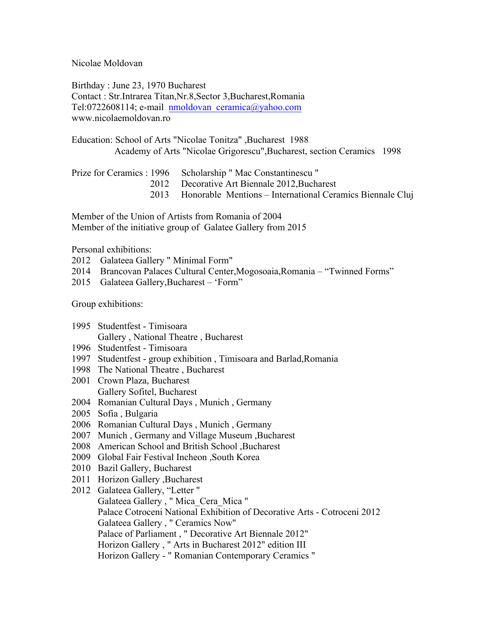Nicolae Moldovan

Birthday : June 23, 1970 Bucharest Contact : Str.Intrarea Titan,Nr.8,Sector 3,Bucharest,Romania Tel:0722608114; e-mail nmoldovan\_ceramica@yahoo.com www.nicolaemoldovan.ro

Education: School of Arts "Nicolae Tonitza" ,Bucharest 1988 Academy of Arts "Nicolae Grigorescu",Bucharest, section Ceramics 1998

| Prize for Ceramics: 1996 Scholarship "Mac Constantinescu"      |
|----------------------------------------------------------------|
| 2012 Decorative Art Biennale 2012, Bucharest                   |
| 2013 Honorable Mentions – International Ceramics Biennale Clui |

Member of the Union of Artists from Romania of 2004 Member of the initiative group of Galatee Gallery from 2015

Personal exhibitions:

- 2012 Galateea Gallery " Minimal Form"
- 2014 Brancovan Palaces Cultural Center,Mogosoaia,Romania "Twinned Forms"
- 2015 Galateea Gallery,Bucharest 'Form"

Group exhibitions:

- 1995 Studentfest Timisoara Gallery , National Theatre , Bucharest
- 1996 Studentfest Timisoara
- 1997 Studentfest group exhibition , Timisoara and Barlad,Romania
- 1998 The National Theatre , Bucharest
- 2001 Crown Plaza, Bucharest Gallery Sofitel, Bucharest
- 2004 Romanian Cultural Days , Munich , Germany
- 2005 Sofia , Bulgaria
- 2006 Romanian Cultural Days , Munich , Germany
- 2007 Munich , Germany and Village Museum ,Bucharest
- 2008 American School and British School ,Bucharest
- 2009 Global Fair Festival Incheon ,South Korea
- 2010 Bazil Gallery, Bucharest
- 2011 Horizon Gallery ,Bucharest
- 2012 Galateea Gallery, "Letter " Galateea Gallery , " Mica\_Cera\_Mica " Palace Cotroceni National Exhibition of Decorative Arts - Cotroceni 2012 Galateea Gallery , " Ceramics Now" Palace of Parliament , " Decorative Art Biennale 2012" Horizon Gallery , " Arts in Bucharest 2012" edition III Horizon Gallery - " Romanian Contemporary Ceramics "